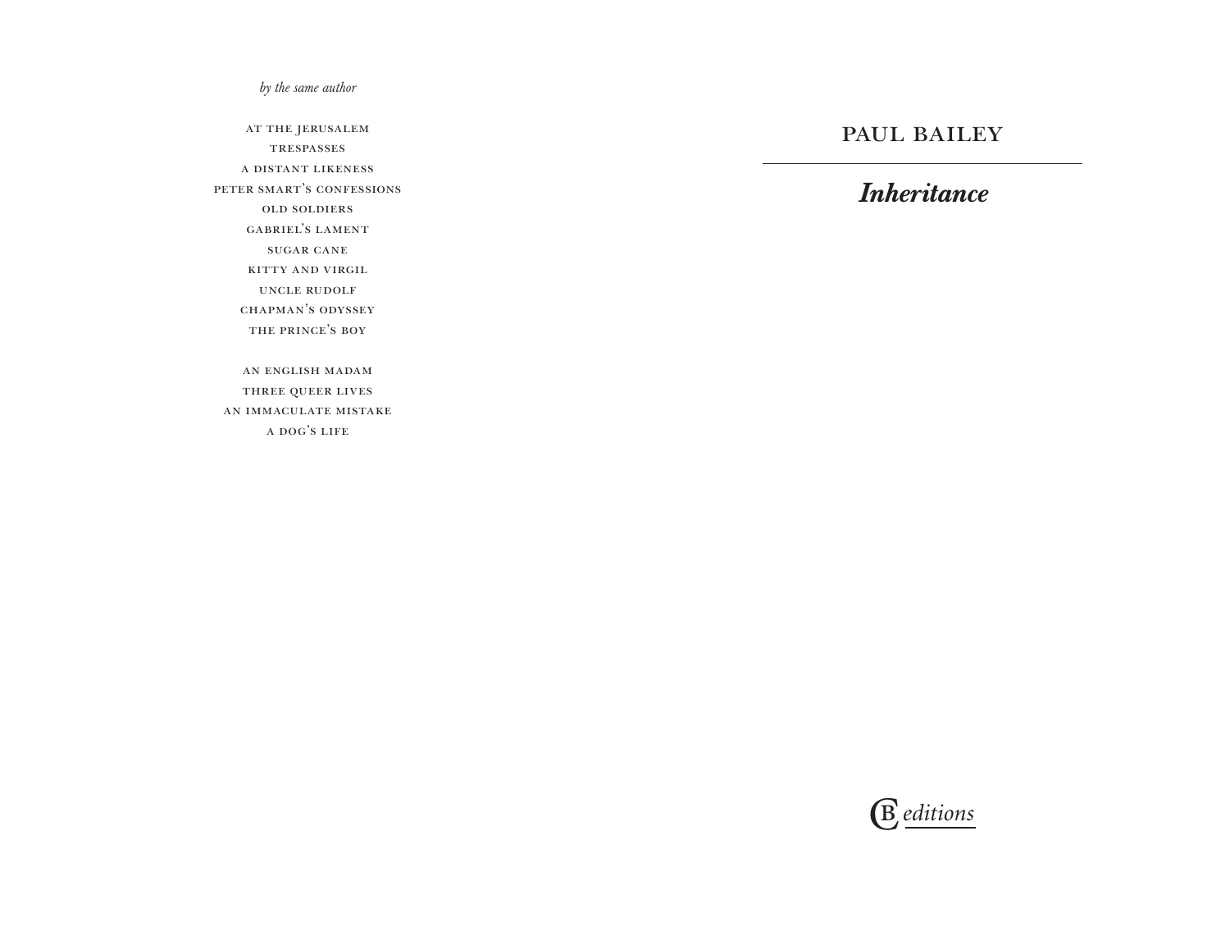*by the same author*

at the jerusalem trespasses a distant likeness peter smart's confessions old soldiers gabriel's lament sugar cane kitty and virgil uncle rudolf chapman's odyssey the prince's boy an english madam

three queer lives an immaculate mistake a dog's life

# PAUL BAILEY

# *Inheritance*

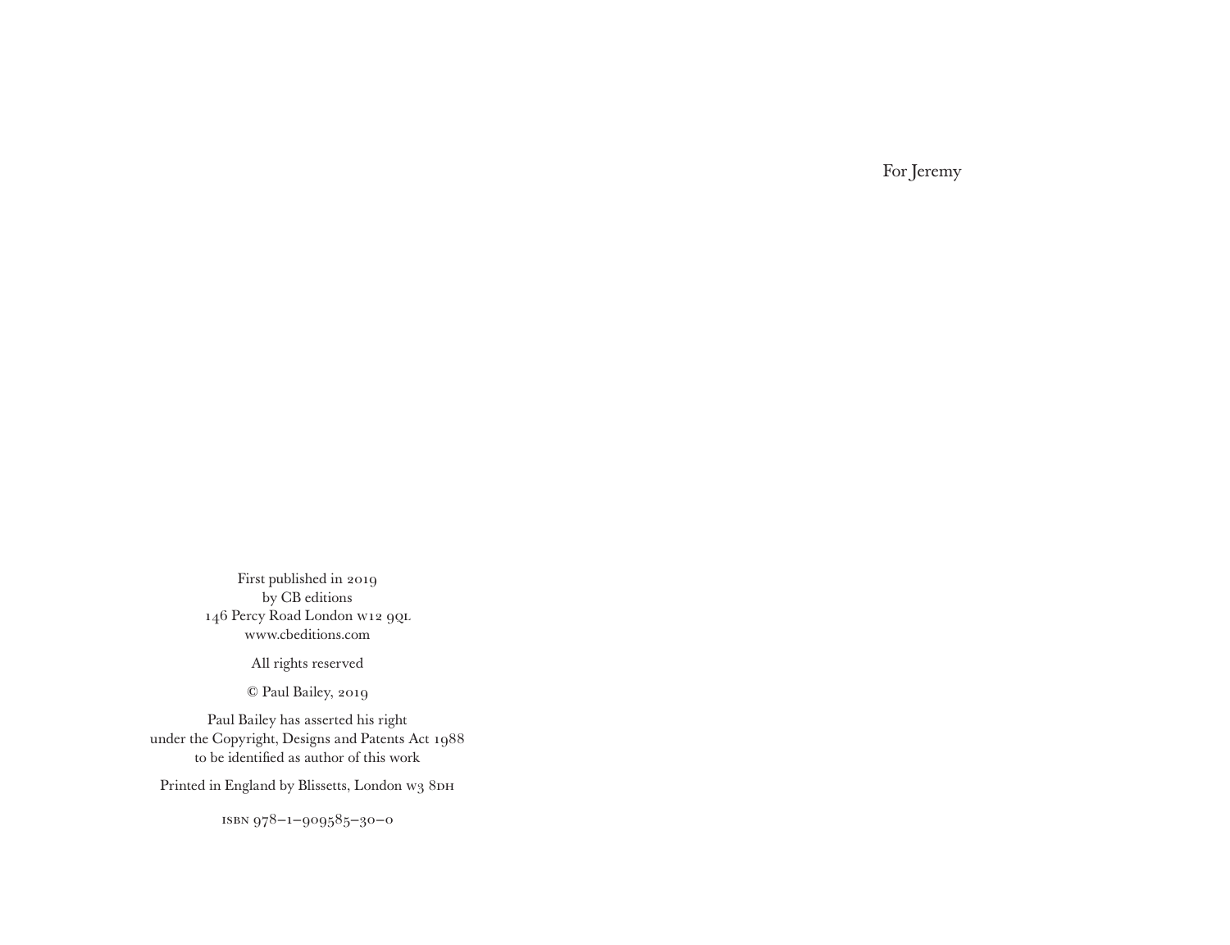For Jeremy

First published in 2019 by CB editions 146 Percy Road London W12 9QL www.cbeditions.com

All rights reserved

© Paul Bailey, 2019

Paul Bailey has asserted his right under the Copyright, Designs and Patents Act 1988 to be identified as author of this work

Printed in England by Blissetts, London w3 8DH

isbn 978–1–909585–30–0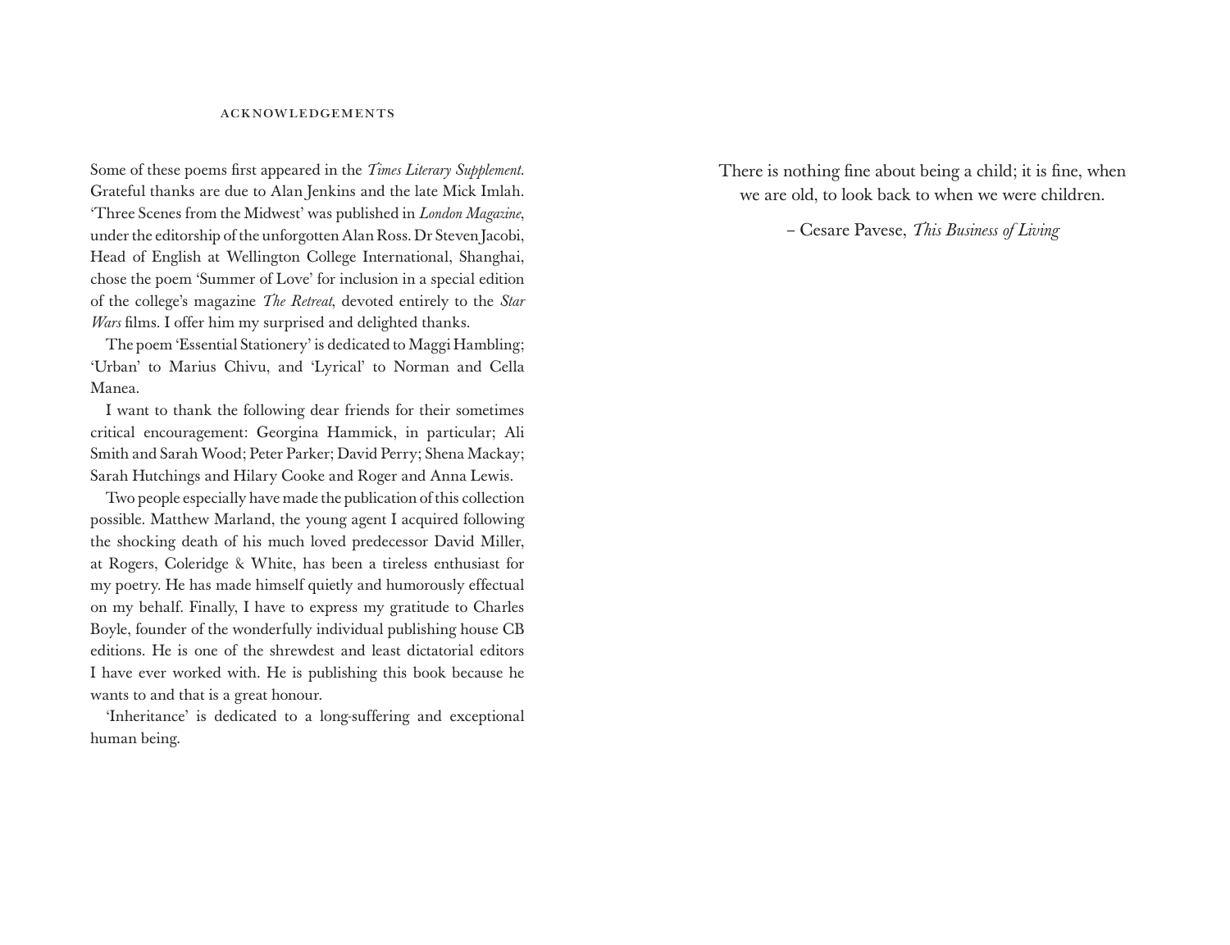#### acknowledgements

Some of these poems first appeared in the *Times Literary Supplement*. Grateful thanks are due to Alan Jenkins and the late Mick Imlah. 'Three Scenes from the Midwest' was published in *London Magazine*, under the editorship of the unforgotten Alan Ross. Dr Steven Jacobi, Head of English at Wellington College International, Shanghai, chose the poem 'Summer of Love' for inclusion in a special edition of the college's magazine *The Retreat*, devoted entirely to the *Star Wars* films. I offer him my surprised and delighted thanks.

The poem 'Essential Stationery' is dedicated to Maggi Hambling; 'Urban' to Marius Chivu, and 'Lyrical' to Norman and Cella Manea.

I want to thank the following dear friends for their sometimes critical encouragement: Georgina Hammick, in particular; Ali Smith and Sarah Wood; Peter Parker; David Perry; Shena Mackay; Sarah Hutchings and Hilary Cooke and Roger and Anna Lewis.

Two people especially have made the publication of this collection possible. Matthew Marland, the young agent I acquired following the shocking death of his much loved predecessor David Miller, at Rogers, Coleridge & White, has been a tireless enthusiast for my poetry. He has made himself quietly and humorously effectual on my behalf. Finally, I have to express my gratitude to Charles Boyle, founder of the wonderfully individual publishing house CB editions. He is one of the shrewdest and least dictatorial editors I have ever worked with. He is publishing this book because he wants to and that is a great honour.

'Inheritance' is dedicated to a long-suffering and exceptional human being.

There is nothing fine about being a child; it is fine, when we are old, to look back to when we were children.

– Cesare Pavese, *This Business of Living*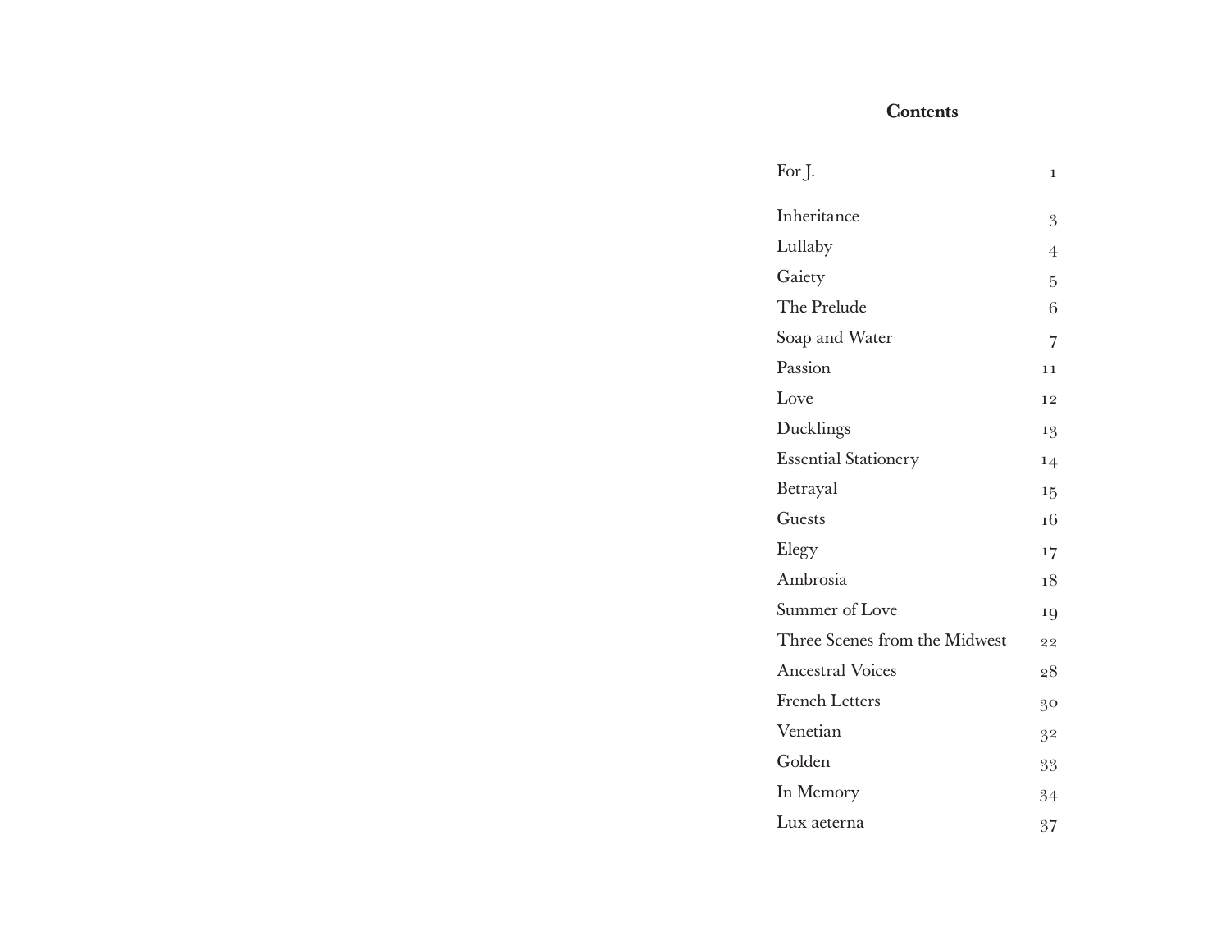# **Contents**

| For J.                        | ı              |
|-------------------------------|----------------|
| Inheritance                   | 3              |
| Lullaby                       | $\overline{4}$ |
| Gaiety                        | 5              |
| The Prelude                   | 6              |
| Soap and Water                | 7              |
| Passion                       | 11             |
| Love                          | 12             |
| Ducklings                     | 13             |
| <b>Essential Stationery</b>   | 14             |
| Betrayal                      | 15             |
| Guests                        | 16             |
| Elegy                         | 17             |
| Ambrosia                      | 18             |
| Summer of Love                | 19             |
| Three Scenes from the Midwest | 22             |
| <b>Ancestral Voices</b>       | 28             |
| <b>French Letters</b>         | 30             |
| Venetian                      | 32             |
| Golden                        | 33             |
| In Memory                     | 34             |
| Lux aeterna                   |                |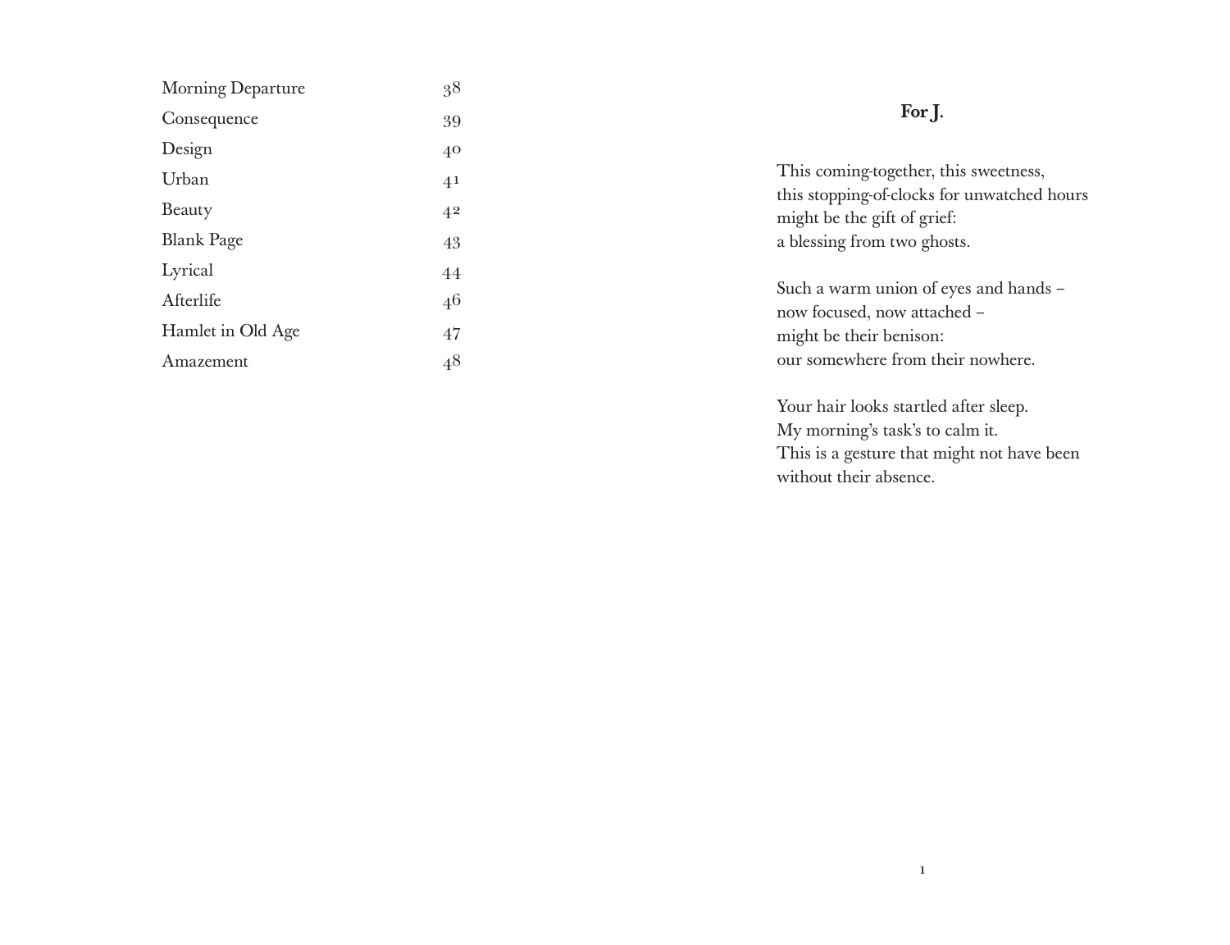| Morning Departure | 38             | For J.                                                                                                                                             |  |
|-------------------|----------------|----------------------------------------------------------------------------------------------------------------------------------------------------|--|
| Consequence       | 39             |                                                                                                                                                    |  |
| Design            | $40^{\circ}$   | This coming-together, this sweetness,<br>this stopping-of-clocks for unwatched hours<br>might be the gift of grief:<br>a blessing from two ghosts. |  |
| Urban             | 4 <sup>1</sup> |                                                                                                                                                    |  |
| Beauty            | 4 <sup>2</sup> |                                                                                                                                                    |  |
| <b>Blank Page</b> | 43             |                                                                                                                                                    |  |
| Lyrical           | 44             | Such a warm union of eyes and hands -<br>now focused, now attached -<br>might be their benison:                                                    |  |
| Afterlife         | 46             |                                                                                                                                                    |  |
| Hamlet in Old Age | 47             |                                                                                                                                                    |  |
| Amazement         | 4 <sup>8</sup> | our somewhere from their nowhere.                                                                                                                  |  |
|                   |                | Your hair looks startled after sleep.                                                                                                              |  |

My morning's task's to calm it.

without their absence.

This is a gesture that might not have been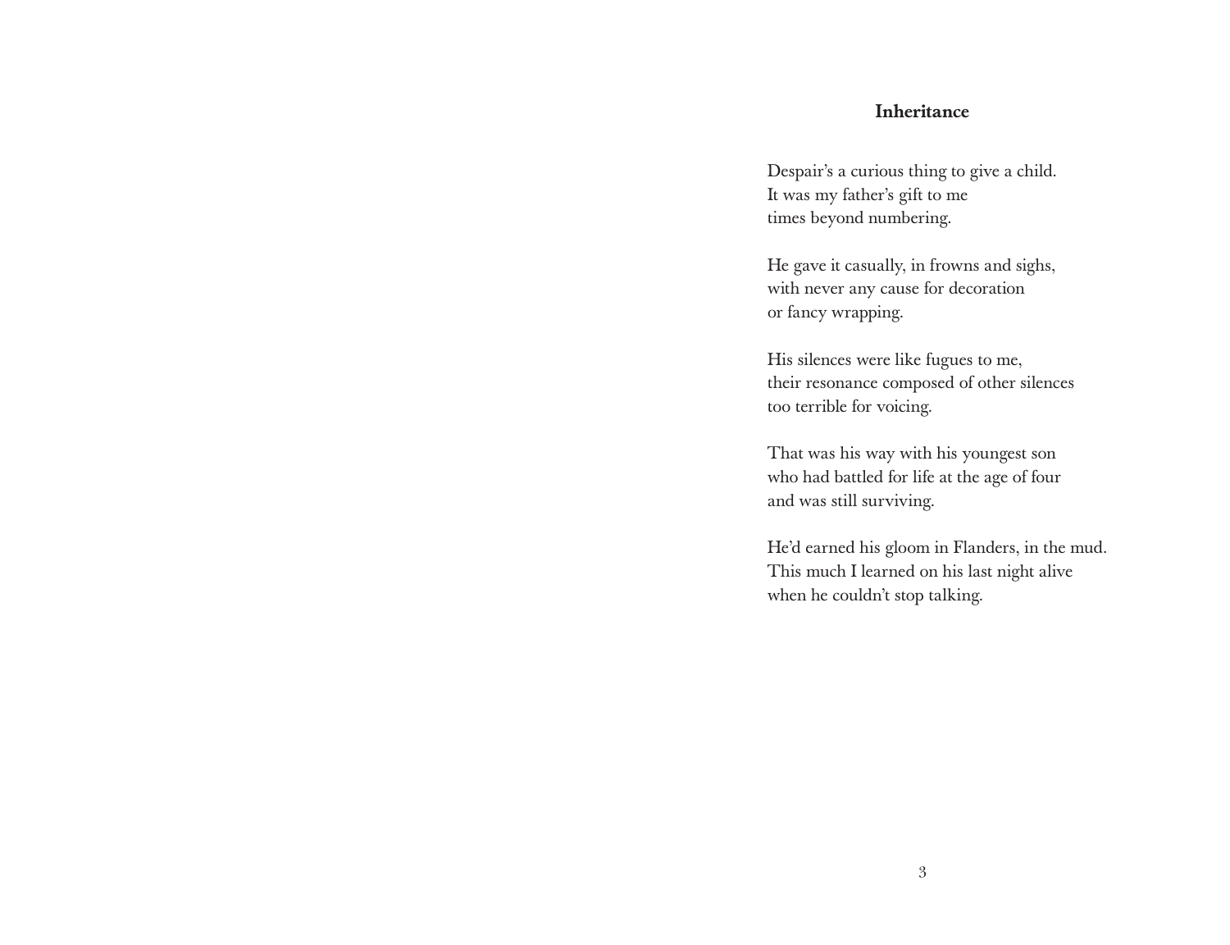#### Inheritance

Despair's a curious thing to give a child. It was my father's gift to me times beyond numbering.

He gave it casually, in frowns and sighs, with never any cause for decoration or fancy wrapping.

His silences were like fugues to me, their resonance composed of other silences too terrible for voicing.

That was his way with his youngest son who had battled for life at the age of four and was still surviving.

He'd earned his gloom in Flanders, in the mud. This much I learned on his last night alive when he couldn't stop talking.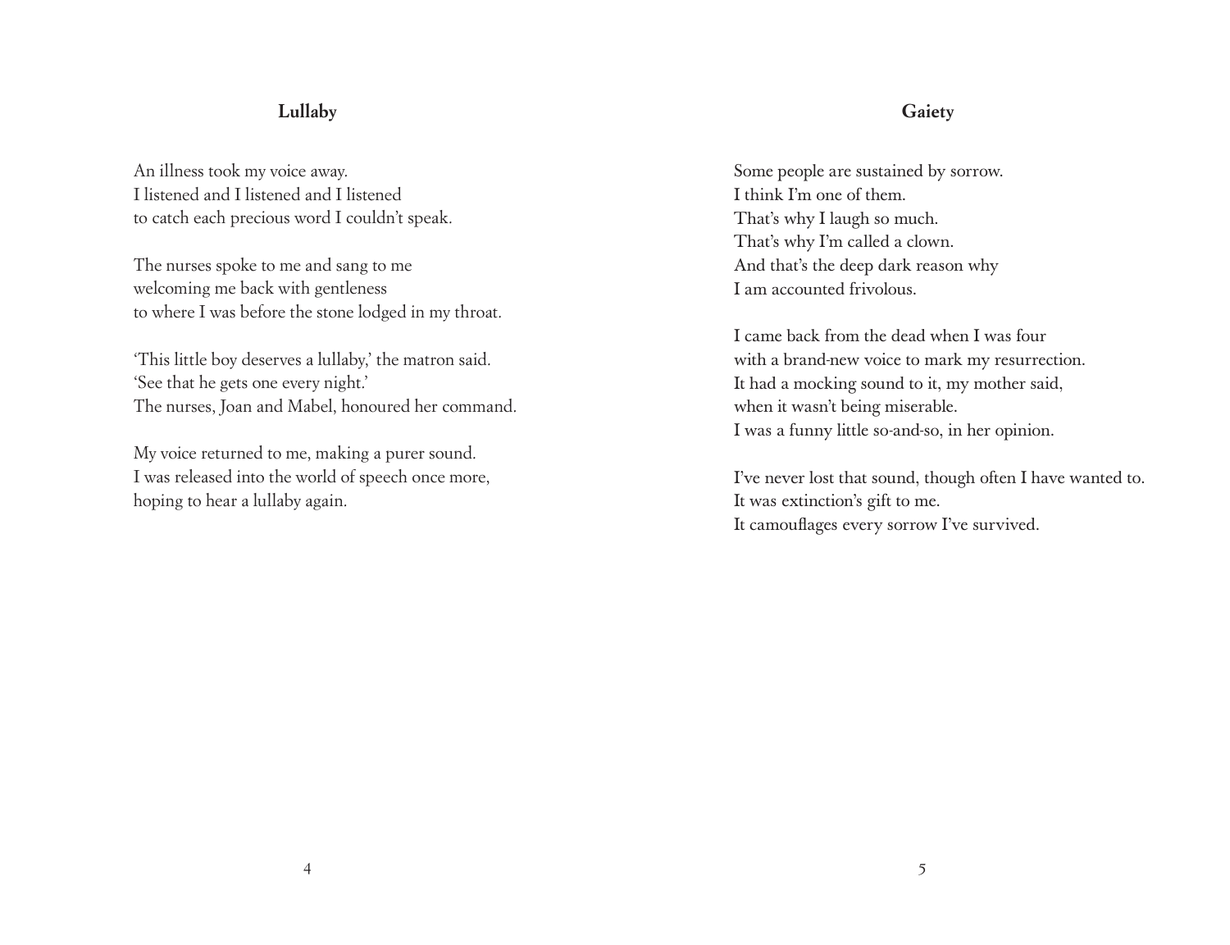## **Lullaby**

An illness took my voice away. I listened and I listened and I listened to catch each precious word I couldn't speak.

The nurses spoke to me and sang to me welcoming me back with gentleness to where I was before the stone lodged in my throat.

'This little boy deserves a lullaby,' the matron said. 'See that he gets one every night.' The nurses, Joan and Mabel, honoured her command.

My voice returned to me, making a purer sound. I was released into the world of speech once more, hoping to hear a lullaby again.

#### **Gaiety**

Some people are sustained by sorrow. I think I'm one of them. That's why I laugh so much. That's why I'm called a clown. And that's the deep dark reason why I am accounted frivolous.

I came back from the dead when I was four with a brand-new voice to mark my resurrection. It had a mocking sound to it, my mother said, when it wasn't being miserable. I was a funny little so-and-so, in her opinion.

I've never lost that sound, though often I have wanted to. It was extinction's gift to me. It camouflages every sorrow I've survived.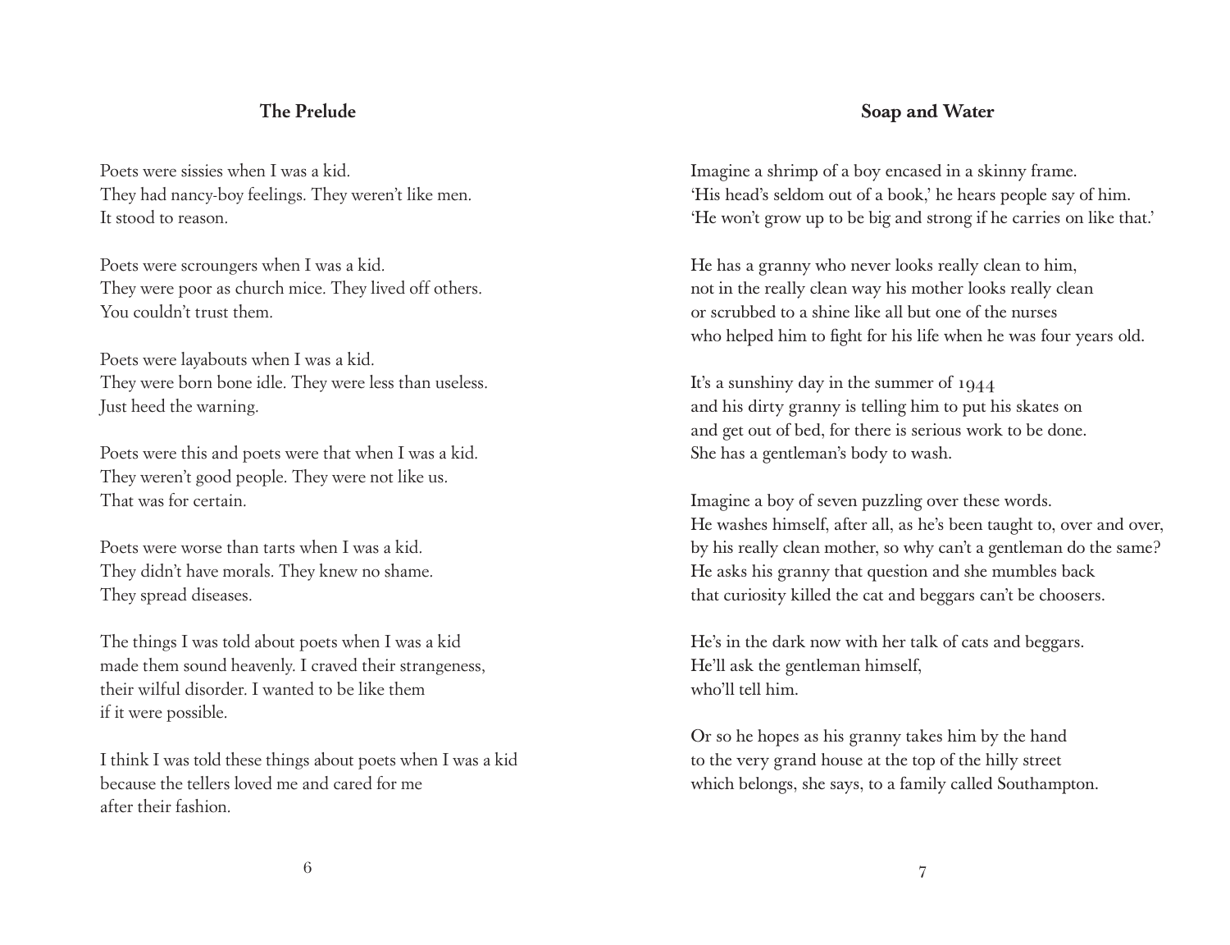### **The Prelude**

Poets were sissies when I was a kid. They had nancy-boy feelings. They weren't like men. It stood to reason.

Poets were scroungers when I was a kid. They were poor as church mice. They lived off others. You couldn't trust them.

Poets were layabouts when I was a kid. They were born bone idle. They were less than useless. Just heed the warning.

Poets were this and poets were that when I was a kid. They weren't good people. They were not like us. That was for certain.

Poets were worse than tarts when I was a kid. They didn't have morals. They knew no shame. They spread diseases.

The things I was told about poets when I was a kid made them sound heavenly. I craved their strangeness, their wilful disorder. I wanted to be like them if it were possible.

I think I was told these things about poets when I was a kid because the tellers loved me and cared for me after their fashion.

## Soap and Water

Imagine a shrimp of a boy encased in a skinny frame. 'His head's seldom out of a book,' he hears people say of him. 'He won't grow up to be big and strong if he carries on like that.'

He has a granny who never looks really clean to him, not in the really clean way his mother looks really clean or scrubbed to a shine like all but one of the nurses who helped him to fight for his life when he was four years old.

It's a sunshiny day in the summer of 1944 and his dirty granny is telling him to put his skates on and get out of bed, for there is serious work to be done. She has a gentleman's body to wash.

Imagine a boy of seven puzzling over these words. He washes himself, after all, as he's been taught to, over and over, by his really clean mother, so why can't a gentleman do the same? He asks his granny that question and she mumbles back that curiosity killed the cat and beggars can't be choosers.

He's in the dark now with her talk of cats and beggars. He'll ask the gentleman himself, who'll tell him.

Or so he hopes as his granny takes him by the hand to the very grand house at the top of the hilly street which belongs, she says, to a family called Southampton.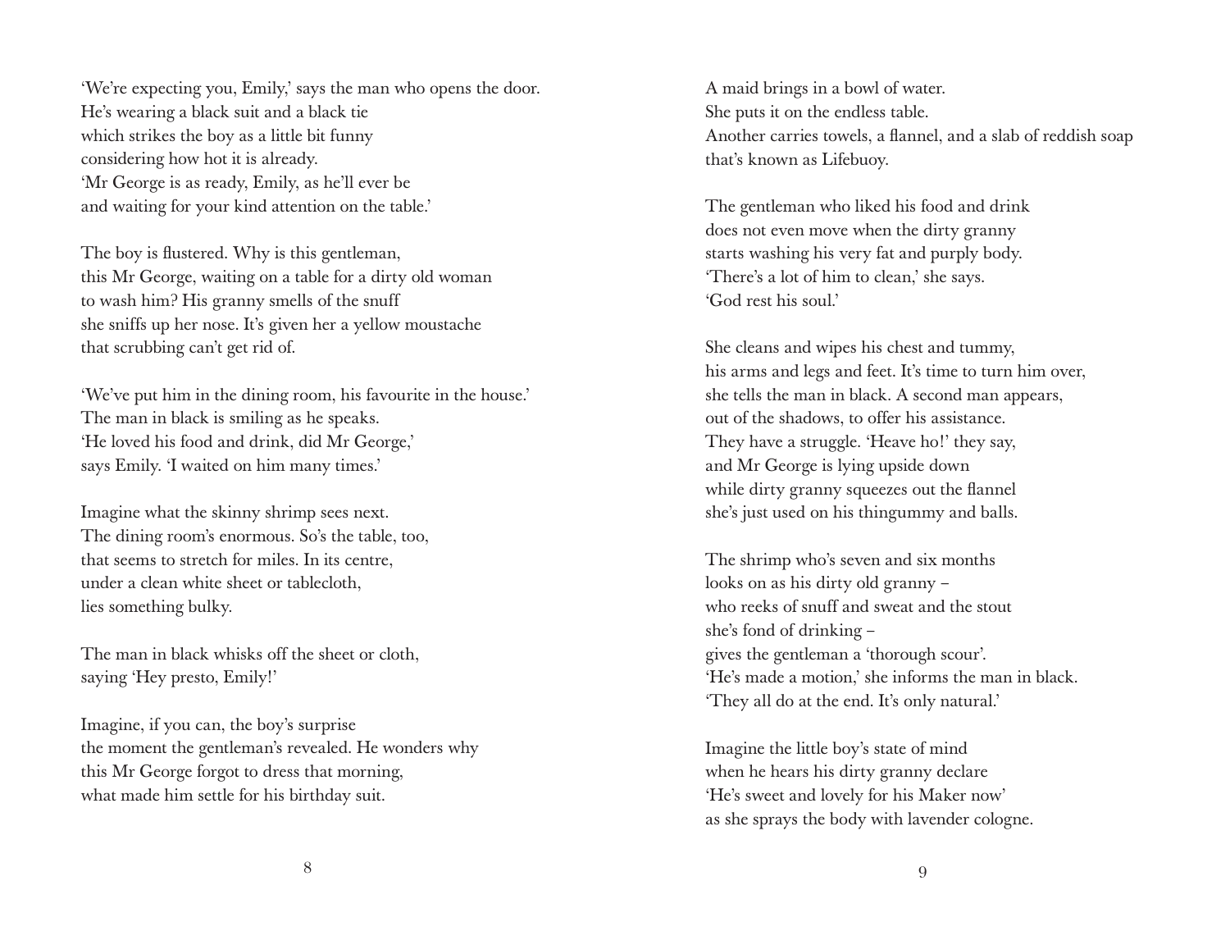'We're expecting you, Emily,' says the man who opens the door. He's wearing a black suit and a black tie which strikes the boy as a little bit funny considering how hot it is already. 'Mr George is as ready, Emily, as he'll ever be and waiting for your kind attention on the table.'

The boy is flustered. Why is this gentleman, this Mr George, waiting on a table for a dirty old woman to wash him? His granny smells of the snuff she sniffs up her nose. It's given her a yellow moustache that scrubbing can't get rid of.

'We've put him in the dining room, his favourite in the house.' The man in black is smiling as he speaks. 'He loved his food and drink, did Mr George,' says Emily. 'I waited on him many times.'

Imagine what the skinny shrimp sees next. The dining room's enormous. So's the table, too, that seems to stretch for miles. In its centre, under a clean white sheet or tablecloth, lies something bulky.

The man in black whisks off the sheet or cloth, saying 'Hey presto, Emily!'

Imagine, if you can, the boy's surprise the moment the gentleman's revealed. He wonders why this Mr George forgot to dress that morning, what made him settle for his birthday suit.

A maid brings in a bowl of water. She puts it on the endless table. Another carries towels, a flannel, and a slab of reddish soap that's known as Lifebuoy.

The gentleman who liked his food and drink does not even move when the dirty granny starts washing his very fat and purply body. 'There's a lot of him to clean,' she says. 'God rest his soul.'

She cleans and wipes his chest and tummy, his arms and legs and feet. It's time to turn him over, she tells the man in black. A second man appears, out of the shadows, to offer his assistance. They have a struggle. 'Heave ho!' they say, and Mr George is lying upside down while dirty granny squeezes out the flannel she's just used on his thingummy and balls.

The shrimp who's seven and six months looks on as his dirty old granny – who reeks of snuff and sweat and the stout she's fond of drinking – gives the gentleman a 'thorough scour'. 'He's made a motion,' she informs the man in black. 'They all do at the end. It's only natural.'

Imagine the little boy's state of mind when he hears his dirty granny declare 'He's sweet and lovely for his Maker now' as she sprays the body with lavender cologne.